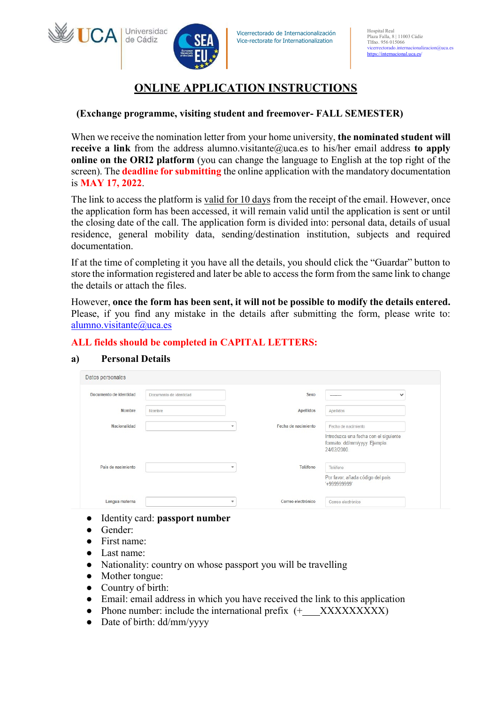# ONLINE APPLICATION INSTRUCTIONS

### (Exchange programme, visiting student and freemover- FALL SEMESTER)

When we receive the nomination letter from your home university, the nominated student will receive a link from the address alumno.visitante@uca.es to his/her email address to apply online on the ORI2 platform (you can change the language to English at the top right of the screen). The **deadline for submitting** the online application with the mandatory documentation is MAY 17, 2022.

The link to access the platform is valid for 10 days from the receipt of the email. However, once the application form has been accessed, it will remain valid until the application is sent or until the closing date of the call. The application form is divided into: personal data, details of usual residence, general mobility data, sending/destination institution, subjects and required documentation.

If at the time of completing it you have all the details, you should click the "Guardar" button to store the information registered and later be able to access the form from the same link to change the details or attach the files.

However, once the form has been sent, it will not be possible to modify the details entered. Please, if you find any mistake in the details after submitting the form, please write to: alumno.visitante@uca.es

#### ALL fields should be completed in CAPITAL LETTERS:

#### a) Personal Details

Universidad de Cádiz

| Documento de identidad | Documento de identidad |                          | Sexo                | $\checkmark$<br>--------                                                              |
|------------------------|------------------------|--------------------------|---------------------|---------------------------------------------------------------------------------------|
| Nombre                 | Nombre                 |                          | Apellidos           | Apellidos                                                                             |
| Nacionalidad           |                        | $\overline{\phantom{a}}$ | Fecha de nacimiento | Fecha de nacimiento                                                                   |
|                        |                        |                          |                     | Introduzca una fecha con el siguiente<br>formato: dd/mm/yyyy. Ejemplo:<br>24/02/2000. |
| País de nacimiento     |                        | $\overline{\mathbf{v}}$  | Teléfono            | Teléfono                                                                              |
|                        |                        |                          |                     | Por favor, añada código del país<br>'+999999999'                                      |
| Lengua materna         |                        | $\overline{\mathbf{v}}$  | Correo electrónico  | Correo electrónico                                                                    |

- Identity card: passport number
- Gender:
- First name:
- Last name:
- Nationality: country on whose passport you will be travelling
- Mother tongue:
- Country of birth:
- Email: email address in which you have received the link to this application
- Phone number: include the international prefix (+ XXXXXXXXXX)
- Date of birth: dd/mm/yyyy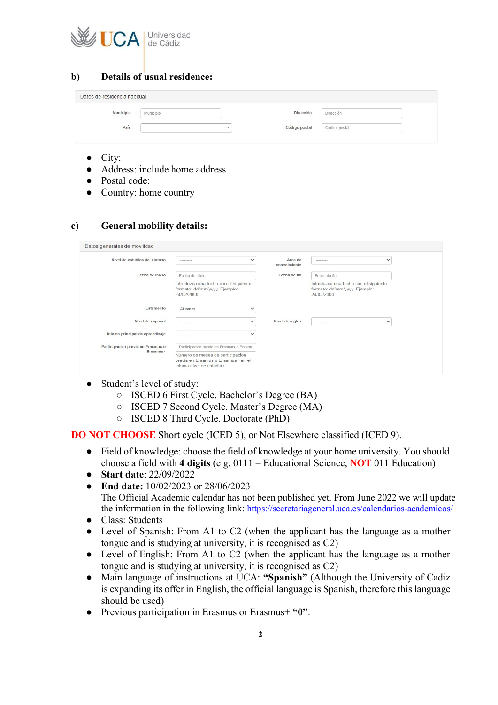

#### b) Details of usual residence:

| Datos de residencia habitual |           |                          |               |               |
|------------------------------|-----------|--------------------------|---------------|---------------|
| <b>Municipio</b>             | Municipio |                          | Dirección     | Dirección     |
| País<br>5730000              |           | $\overline{\phantom{a}}$ | Código postal | Código postal |
|                              |           |                          |               |               |

- City:
- Address: include home address
- Postal code:
- Country: home country

## c) General mobility details:

| Nivel de estudios del alumno      | $\checkmark$<br>---------                                                                         | Área de<br>conocimiento | $\checkmark$<br>---------                                                             |
|-----------------------------------|---------------------------------------------------------------------------------------------------|-------------------------|---------------------------------------------------------------------------------------|
| Fecha de inicio                   | Fecha de inicio                                                                                   | Fecha de fin            | Fecha de fin                                                                          |
|                                   | Introduzca una fecha con el siguiente<br>formato: dd/mm/yyyy. Ejemplo:<br>24/02/2000.             |                         | Introduzca una fecha con el siguiente<br>formato: dd/mm/yyyy. Ejemplo:<br>24/02/2000. |
| Estamento                         | $\check{ }$<br>Alumnos                                                                            |                         |                                                                                       |
| Nivel de español                  | $\checkmark$<br>---------                                                                         | Nivel de ingles         | $\checkmark$<br>---------                                                             |
| Idioma principal de aprendizaje   | $\checkmark$<br>---------                                                                         |                         |                                                                                       |
| Participacion previa en Erasmus o | Participacion previa en Erasmus o Erasmu                                                          |                         |                                                                                       |
| Erasmus+                          | Numero de meses de participacion<br>previa en Erasmus o Erasmus+ en el<br>mismo nivel de estudios |                         |                                                                                       |

- Student's level of study:
	- ISCED 6 First Cycle. Bachelor's Degree (BA)
	- ISCED 7 Second Cycle. Master's Degree (MA)
	- ISCED 8 Third Cycle. Doctorate (PhD)

DO NOT CHOOSE Short cycle (ICED 5), or Not Elsewhere classified (ICED 9).

- Field of knowledge: choose the field of knowledge at your home university. You should choose a field with 4 digits (e.g.  $0111 -$  Educational Science, **NOT** 011 Education)
- Start date: 22/09/2022
- End date: 10/02/2023 or 28/06/2023 The Official Academic calendar has not been published yet. From June 2022 we will update the information in the following link: https://secretariageneral.uca.es/calendarios-academicos/
- Class: Students
- Level of Spanish: From A1 to C2 (when the applicant has the language as a mother tongue and is studying at university, it is recognised as C2)
- Level of English: From A1 to C2 (when the applicant has the language as a mother tongue and is studying at university, it is recognised as C2)
- Main language of instructions at UCA: "Spanish" (Although the University of Cadiz is expanding its offer in English, the official language is Spanish, therefore this language should be used)
- Previous participation in Erasmus or Erasmus + "0".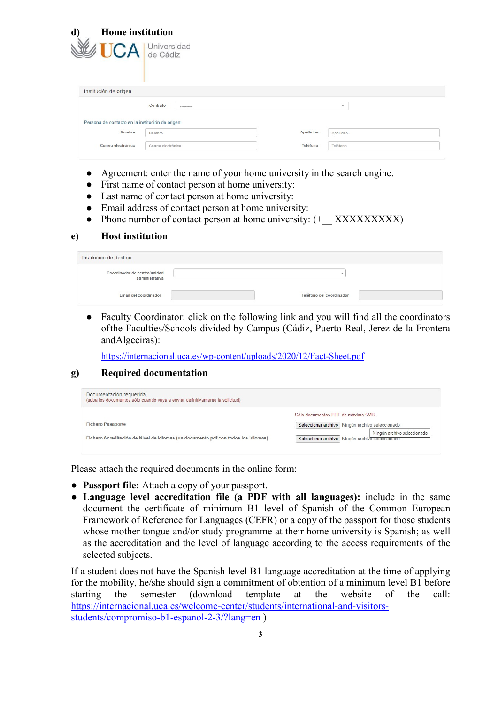| d)<br>Home institution                           |                               |           |           |
|--------------------------------------------------|-------------------------------|-----------|-----------|
| <b>TCA</b>                                       | Universidad<br>de Cádiz       |           |           |
| Institución de origen                            |                               |           |           |
|                                                  | Contrato<br><b>CONTRACTOR</b> |           | $\;$      |
| Persona de contacto en la institución de origen: |                               |           |           |
| Nombre                                           | Nombre                        | Apellidos | Apellidos |
| Correo electrónico                               | Correo electrónico            | Teléfono  | Teléfono  |
|                                                  |                               |           |           |

- Agreement: enter the name of your home university in the search engine.
- First name of contact person at home university:
- Last name of contact person at home university:
- Email address of contact person at home university:
- Phone number of contact person at home university:  $(+)$  XXXXXXXXXX)

#### e) Host institution

| Institución de destino                         |                          |  |
|------------------------------------------------|--------------------------|--|
| Coordinador de centro/unidad<br>administrativa | $\sim$                   |  |
| Email del coordinador                          | Teléfono del coordinador |  |

● Faculty Coordinator: click on the following link and you will find all the coordinators of the Faculties/Schools divided by Campus (Cádiz, Puerto Real, Jerez de la Frontera and Algeciras):

https://internacional.uca.es/wp-content/uploads/2020/12/Fact-Sheet.pdf

#### g) Required documentation

| Documentación requerida<br>(suba los documentos sólo cuando vaya a enviar definitivamente la solicitud)       |                                                                                                                                                                             |
|---------------------------------------------------------------------------------------------------------------|-----------------------------------------------------------------------------------------------------------------------------------------------------------------------------|
| <b>Fichero Pasaporte</b><br>Fichero Acreditación de Nivel de Idiomas (un documento pdf con todos los idiomas) | Sólo documentos PDF de máximo 5MB.<br>Seleccionar archivo   Ningún archivo seleccionado<br>Ningún archivo seleccionado<br>Seleccionar archivo   Ningún archivo seleccionado |

Please attach the required documents in the online form:

- Passport file: Attach a copy of your passport.
- Language level accreditation file (a PDF with all languages): include in the same document the certificate of minimum B1 level of Spanish of the Common European Framework of Reference for Languages (CEFR) or a copy of the passport for those students whose mother tongue and/or study programme at their home university is Spanish; as well as the accreditation and the level of language according to the access requirements of the selected subjects.

If a student does not have the Spanish level B1 language accreditation at the time of applying for the mobility, he/she should sign a commitment of obtention of a minimum level B1 before starting the semester (download template at the website of the call: https://internacional.uca.es/welcome-center/students/international-and-visitorsstudents/compromiso-b1-espanol-2-3/?lang=en )